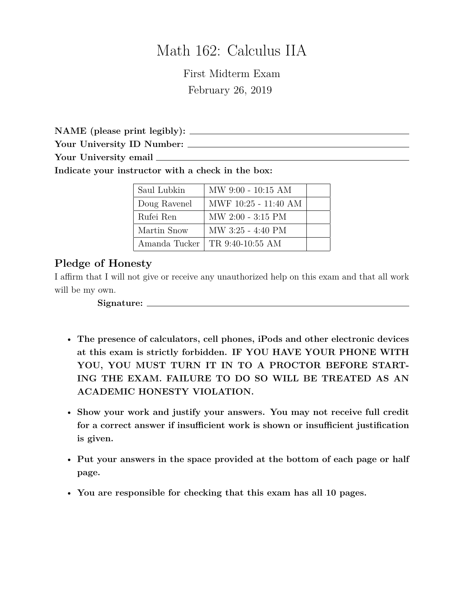## Math 162: Calculus IIA

First Midterm Exam February 26, 2019

**NAME (please print legibly):**

**Your University ID Number:**

**Your University email**

**Indicate your instructor with a check in the box:**

| Saul Lubkin   | $MW 9:00 - 10:15 AM$ |  |
|---------------|----------------------|--|
| Doug Ravenel  | MWF 10:25 - 11:40 AM |  |
| Rufei Ren     | $MW 2:00 - 3:15 PM$  |  |
| Martin Snow   | $MW$ 3:25 - 4:40 PM  |  |
| Amanda Tucker | TR 9:40-10:55 AM     |  |

## **Pledge of Honesty**

I affirm that I will not give or receive any unauthorized help on this exam and that all work will be my own.

**Signature:**

- **The presence of calculators, cell phones, iPods and other electronic devices at this exam is strictly forbidden. IF YOU HAVE YOUR PHONE WITH YOU, YOU MUST TURN IT IN TO A PROCTOR BEFORE START-ING THE EXAM. FAILURE TO DO SO WILL BE TREATED AS AN ACADEMIC HONESTY VIOLATION.**
- **Show your work and justify your answers. You may not receive full credit for a correct answer if insufficient work is shown or insufficient justification is given.**
- **Put your answers in the space provided at the bottom of each page or half page.**
- **You are responsible for checking that this exam has all 10 pages.**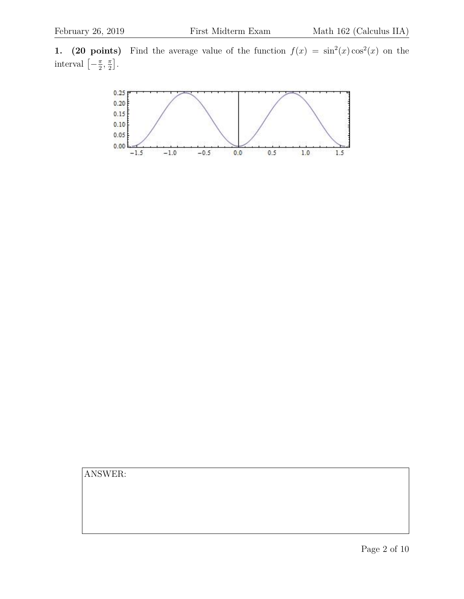**1.** (20 points) Find the average value of the function  $f(x) = \sin^2(x) \cos^2(x)$  on the interval  $\left[-\frac{\pi}{2}\right]$  $\frac{\pi}{2}$ ,  $\frac{\pi}{2}$  $\frac{\pi}{2}$ .

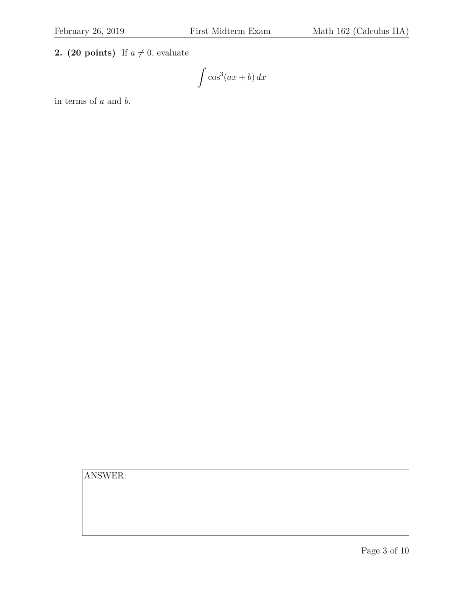**2. (20 points)** If  $a \neq 0$ , evaluate

$$
\int \cos^3(ax+b)\,dx
$$

in terms of a and b.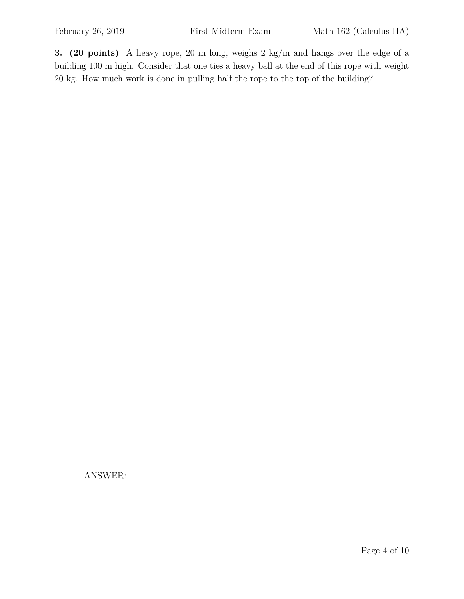**3. (20 points)** A heavy rope, 20 m long, weighs 2 kg/m and hangs over the edge of a building 100 m high. Consider that one ties a heavy ball at the end of this rope with weight 20 kg. How much work is done in pulling half the rope to the top of the building?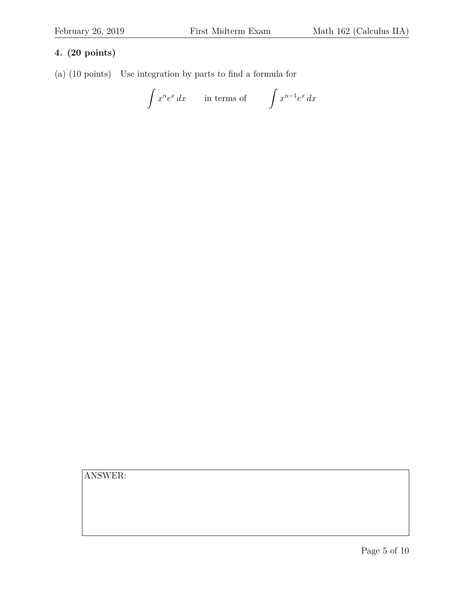## **4. (20 points)**

(a) (10 points) Use integration by parts to find a formula for

$$
\int x^n e^x dx \qquad \text{in terms of} \qquad \int x^{n-1} e^x dx
$$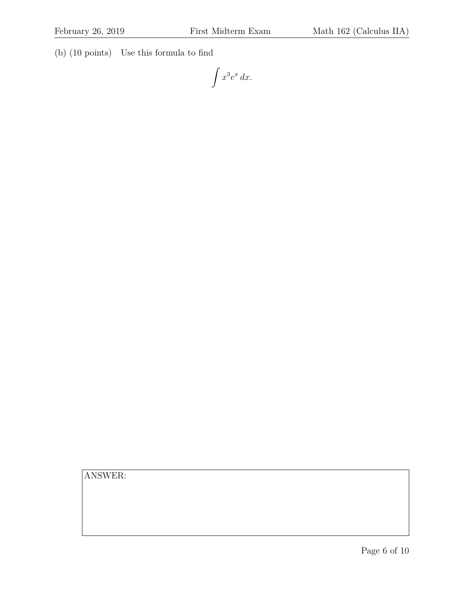(b) (10 points) Use this formula to find

 $\int x^3 e^x dx.$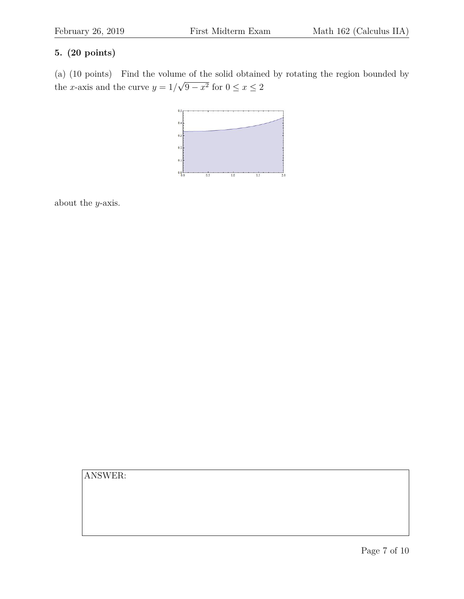## **5. (20 points)**

(a) (10 points) Find the volume of the solid obtained by rotating the region bounded by the x-axis and the curve  $y = 1/$ √  $9 - x^2$  for  $0 \le x \le 2$ 



about the y-axis.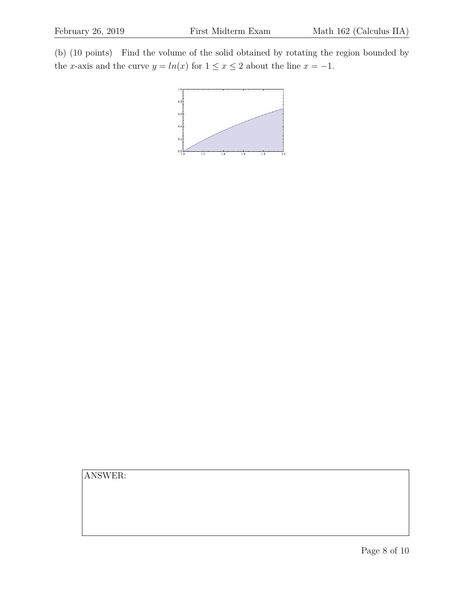(b) (10 points) Find the volume of the solid obtained by rotating the region bounded by the x-axis and the curve  $y = ln(x)$  for  $1 \le x \le 2$  about the line  $x = -1$ .

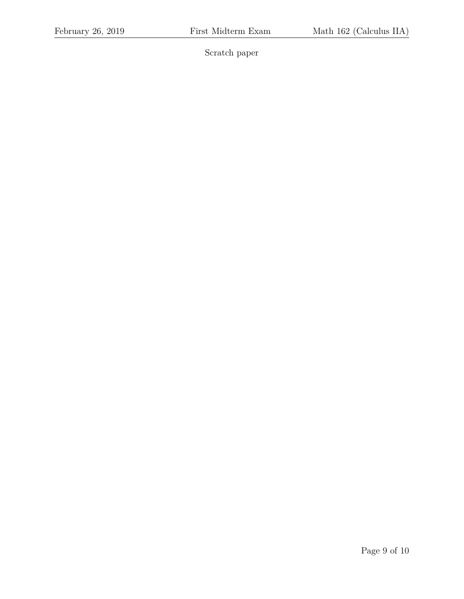Scratch paper